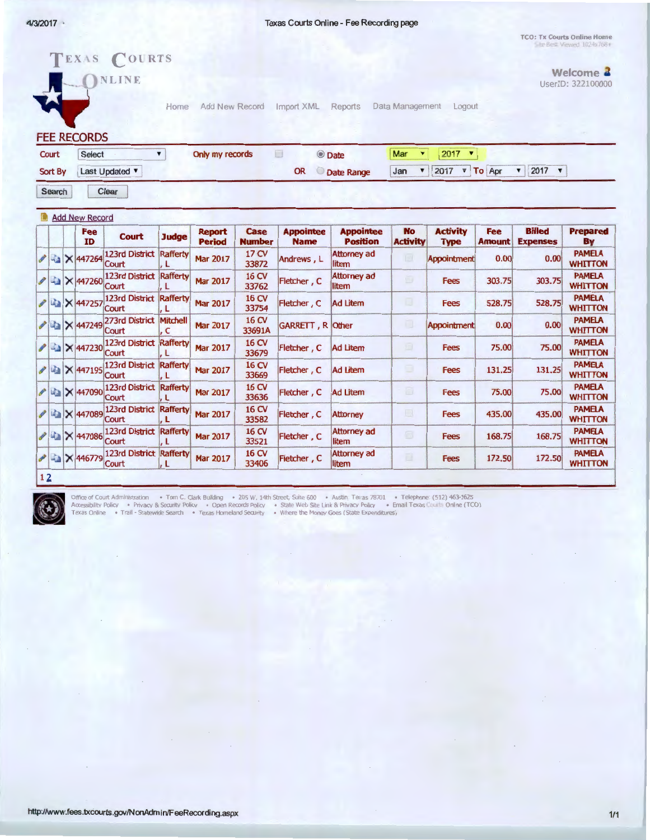Texas Courts Online - Fee Recording page

TCO: Tx Courts Online Home Filte Berg: Viewed 1024x768+

|                                                   |        |              |                                                                                                                                                                                                               |                                                                                                                                                         |                                                                                                          |                                   |                             |                                                                 |             |                                                       |                                                    | Welcome <b>4</b>                |
|---------------------------------------------------|--------|--------------|---------------------------------------------------------------------------------------------------------------------------------------------------------------------------------------------------------------|---------------------------------------------------------------------------------------------------------------------------------------------------------|----------------------------------------------------------------------------------------------------------|-----------------------------------|-----------------------------|-----------------------------------------------------------------|-------------|-------------------------------------------------------|----------------------------------------------------|---------------------------------|
|                                                   |        |              | Home                                                                                                                                                                                                          |                                                                                                                                                         |                                                                                                          |                                   |                             |                                                                 |             |                                                       |                                                    | UserID: 322100000               |
| <b>Select</b><br>Court<br>Last Updated<br>Sort By |        |              |                                                                                                                                                                                                               |                                                                                                                                                         |                                                                                                          |                                   |                             | Mar<br>$2017$ $\times$<br>$\blacktriangledown$                  |             |                                                       |                                                    |                                 |
|                                                   |        |              |                                                                                                                                                                                                               |                                                                                                                                                         |                                                                                                          | <b>OR</b><br>Date Range           |                             | 2017<br>2017 $\times$<br>▼ To Apr<br>$\blacksquare$<br>Jan<br>▼ |             |                                                       |                                                    |                                 |
|                                                   |        |              |                                                                                                                                                                                                               |                                                                                                                                                         |                                                                                                          |                                   |                             |                                                                 |             |                                                       |                                                    |                                 |
| <b>Add New Record</b>                             |        |              |                                                                                                                                                                                                               |                                                                                                                                                         |                                                                                                          |                                   |                             |                                                                 |             |                                                       |                                                    |                                 |
|                                                   | ID     | <b>Court</b> | <b>Judge</b>                                                                                                                                                                                                  | <b>Report</b><br><b>Period</b>                                                                                                                          | Case<br><b>Number</b>                                                                                    | <b>Appointee</b><br><b>Name</b>   | <b>Position</b>             |                                                                 | <b>Type</b> | <b>Amount</b>                                         | <b>Expenses</b>                                    | <b>Prepared</b><br>By           |
|                                                   |        | Court        | Rafferty<br>L                                                                                                                                                                                                 | <b>Mar 2017</b>                                                                                                                                         | 17 CV<br>33872                                                                                           | Andrews, L                        | <b>Attorney ad</b><br>litem | E                                                               |             | 0.00                                                  | 0.00                                               | <b>PAMELA</b><br><b>WHITTON</b> |
|                                                   |        | Court        | L                                                                                                                                                                                                             | <b>Mar 2017</b>                                                                                                                                         | 16 CV<br>33762                                                                                           | Fletcher, C                       | <b>Attorney ad</b><br>litem | Ð                                                               | <b>Fees</b> | 303.75                                                | 303.75                                             | <b>PAMELA</b><br><b>WHITTON</b> |
|                                                   |        | Court        | <b>Rafferty</b><br>L                                                                                                                                                                                          | <b>Mar 2017</b>                                                                                                                                         | 16 CV<br>33754                                                                                           | Fletcher, C                       | <b>Ad Litem</b>             | u                                                               | <b>Fees</b> | 528.75                                                | 528.75                                             | <b>PAMELA</b><br><b>WHITTON</b> |
|                                                   |        | Court        | Mitchell<br>c                                                                                                                                                                                                 | <b>Mar 2017</b>                                                                                                                                         | 16 CV<br>33691A                                                                                          |                                   |                             | Ω                                                               |             | 0.00                                                  | 0.00                                               | <b>PAMELA</b><br><b>WHITTON</b> |
|                                                   |        | Court        | Rafferty<br>.L                                                                                                                                                                                                | <b>Mar 2017</b>                                                                                                                                         | 16 CV<br>33679                                                                                           | Fletcher, C                       | <b>Ad Litem</b>             | o                                                               | <b>Fees</b> | 75.00                                                 | 75.00                                              | <b>PAMELA</b><br><b>WHITTON</b> |
|                                                   |        | Court        | Rafferty<br>, L                                                                                                                                                                                               | <b>Mar 2017</b>                                                                                                                                         | 16 CV<br>33669                                                                                           | Fletcher, C                       | <b>Ad Litem</b>             | o                                                               | Fees        | 131.25                                                | 131.25                                             | <b>PAMELA</b><br><b>WHITTON</b> |
|                                                   |        | Court        | Rafferty<br>L                                                                                                                                                                                                 | <b>Mar 2017</b>                                                                                                                                         | 16 CV<br>33636                                                                                           | Fletcher, C                       | <b>Ad Litem</b>             | o                                                               | <b>Fees</b> | 75.00                                                 | 75.00                                              | <b>PAMELA</b><br><b>WHITTON</b> |
|                                                   |        | Court        | . L                                                                                                                                                                                                           | <b>Mar 2017</b>                                                                                                                                         | 16 CV<br>33582                                                                                           | Fletcher, C                       | <b>Attorney</b>             | $\Box$                                                          | Fees        | 435.00                                                | 435.00                                             | <b>PAMELA</b><br><b>WHITTON</b> |
|                                                   |        | Court        | L                                                                                                                                                                                                             | <b>Mar 2017</b>                                                                                                                                         | 16 CV<br>33521                                                                                           | Fletcher, C                       | <b>Attorney ad</b><br>litem | o                                                               | <b>Fees</b> | 168.75                                                | 168.75                                             | <b>PAMELA</b><br><b>WHITTON</b> |
|                                                   |        | Court        | L                                                                                                                                                                                                             | <b>Mar 2017</b>                                                                                                                                         | 16 CV<br>33406                                                                                           | Fletcher, C                       | <b>Attorney ad</b><br>litem | 匪                                                               | <b>Fees</b> | 172.50                                                | 172.50                                             | <b>PAMELA</b><br><b>WHITTON</b> |
|                                                   | Search |              | NLINE<br><b>FEE RECORDS</b><br>Clear<br><b>Fee</b><br>A X 447264<br>X 447260<br>■ × 447257<br><b>AX 447249</b><br><b>EN 1447230</b><br>LA X 447195<br>Ha X 447090<br>LA X 447089<br>La X 447086<br>■ × 446779 | TEXAS COURTS<br>$\blacktriangledown$<br>123rd District<br>123rd District<br>273rd District<br>123rd District<br>123rd District<br><b>123rd District</b> | 123rd District Rafferty<br>123rd District Rafferty<br>123rd District Rafferty<br>123rd District Rafferty | Add New Record<br>Only my records | Import XML<br>$\Box$        | Reports<br>© Date<br><b>Appointee</b><br>GARRETT, R Other       | <b>No</b>   | Data Management<br><b>Activity</b><br><b>Activity</b> | Logout<br><b>Fee</b><br>Appointment<br>Appointment | <b>Billed</b>                   |



Office of Court Administration • Tom C. Clark Bulkding • 205 W. 14th Street, Suite 600 • Austin, Texas 78701 • Telepho<br>Accessibility Policy • Privacy & Security Policy • Open Records Policy • State Web Site Link & Privacy